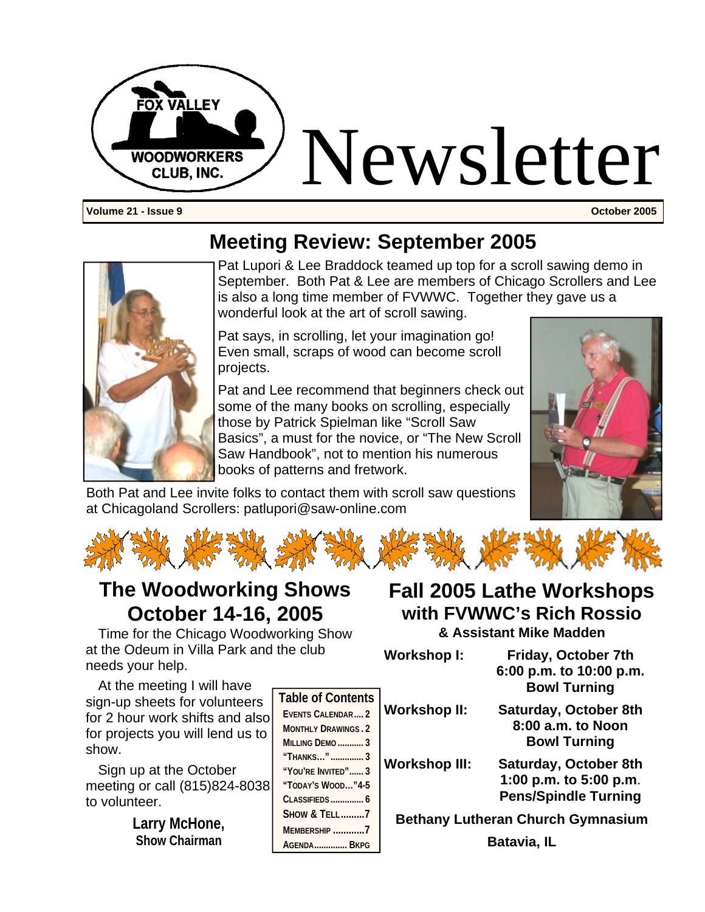

**Volume 21 - Issue 9 October 2005**

### **Meeting Review: September 2005**



Pat Lupori & Lee Braddock teamed up top for a scroll sawing demo in September. Both Pat & Lee are members of Chicago Scrollers and Lee is also a long time member of FVWWC. Together they gave us a wonderful look at the art of scroll sawing.

Pat says, in scrolling, let your imagination go! Even small, scraps of wood can become scroll projects.

Pat and Lee recommend that beginners check out some of the many books on scrolling, especially those by Patrick Spielman like "Scroll Saw Basics", a must for the novice, or "The New Scroll Saw Handbook", not to mention his numerous books of patterns and fretwork.



Both Pat and Lee invite folks to contact them with scroll saw questions at Chicagoland Scrollers: patlupori@saw-online.com



### **The Woodworking Shows October 14-16, 2005**

Time for the Chicago Woodworking Show at the Odeum in Villa Park and the club needs your help.

**with FVWWC's Rich Rossio & Assistant Mike Madden**

At the meeting I will have sign-up sheets for volunteers for 2 hour work shifts and also for projects you will lend us to show.

Sign up at the October meeting or call (815)824-8038 to volunteer.

> **Larry McHone, Show Chairman**

| <b>Table of Contents</b>   |
|----------------------------|
| EVENTS CALENDAR 2          |
| <b>MONTHLY DRAWINGS, 2</b> |
| <b>MILLING DEMO</b> 3      |
| "THANKS"  3                |
| "YOU'RE INVITED" 3         |
| "TODAY'S WOOD" $4-5$       |
| <b>CLASSIFIEDS</b> 6       |
| <b>SHOW &amp; TELL7</b>    |
| MEMBERSHIP 7               |
| AGENDA BKPG                |

# **Fall 2005 Lathe Workshops**

| Workshop I:  | Friday, October 7th                            |
|--------------|------------------------------------------------|
|              | 6:00 p.m. to 10:00 p.m.<br><b>Bowl Turning</b> |
| Workshop II: | <b>Saturday, October 8th</b>                   |

**8:00 a.m. to Noon Bowl Turning**

**Workshop III: Saturday, October 8th 1:00 p.m. to 5:00 p.m**. **Pens/Spindle Turning**

**Bethany Lutheran Church Gymnasium**

**Batavia, IL**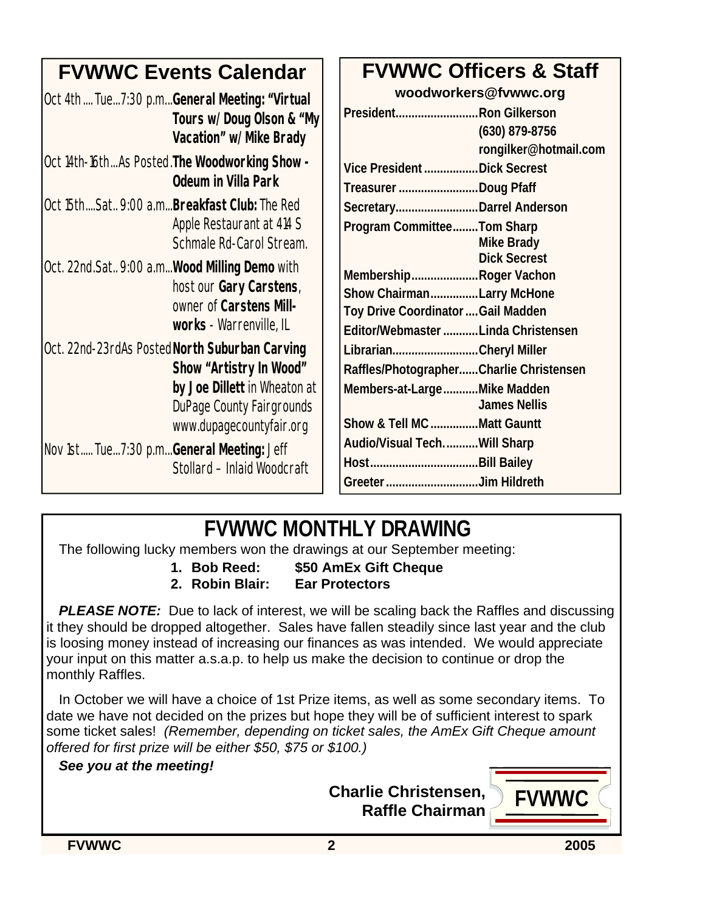| <b>FVWWC Events Calendar</b>                                                                                                                                              | <b>FVWWC Officers &amp; Staff</b>                                                                                                                      |
|---------------------------------------------------------------------------------------------------------------------------------------------------------------------------|--------------------------------------------------------------------------------------------------------------------------------------------------------|
| Oct 4th Tue7:30 p.mGeneral Meeting: "Virtual<br>Tours w/Doug Olson & "My<br>Vacation" w/Mike Brady                                                                        | woodworkers@fvwwc.org<br>PresidentRon Gilkerson<br>(630) 879-8756                                                                                      |
| Oct 14th-16thAs Posted. The Woodworking Show -<br><b>Odeum in Villa Park</b>                                                                                              | rongilker@hotmail.com<br>Vice President Dick Secrest<br>Treasurer Doug Pfaff                                                                           |
| lOct 15thSat 9:00 a.m <b>Breakfast Club:</b> The Red<br>Apple Restaurant at 414 S<br>Schmale Rd-Carol Stream.                                                             | SecretaryDarrel Anderson<br>Program CommitteeTom Sharp<br><b>Mike Brady</b>                                                                            |
| Oct. 22nd.Sat 9:00 a.m Wood Milling Demo with<br>host our Gary Carstens,<br>owner of Carstens Mill-<br>works - Warrenville, IL                                            | <b>Dick Secrest</b><br>MembershipRoger Vachon<br>Show ChairmanLarry McHone<br>Toy Drive Coordinator  Gail Madden<br>Editor/Webmaster Linda Christensen |
| Oct. 22nd-23rdAs Posted North Suburban Carving<br>Show "Artistry In Wood"<br>by Joe Dillett in Wheaton at<br><b>DuPage County Fairgrounds</b><br>www.dupagecountyfair.org | LibrarianCheryl Miller<br>Raffles/PhotographerCharlie Christensen<br>Members-at-LargeMike Madden<br><b>James Nellis</b><br>Show & Tell MC Matt Gauntt  |
| Nov 1st Tue7:30 p.mGeneral Meeting: Jeff<br>Stollard - Inlaid Woodcraft                                                                                                   | Audio/Visual TechWill Sharp<br>Greeter Jim Hildreth                                                                                                    |

### **FVWWC MONTHLY DRAWING**

The following lucky members won the drawings at our September meeting:

**1. Bob Reed: \$50 AmEx Gift Cheque**

**2. Robin Blair: Ear Protectors**

**PLEASE NOTE:** Due to lack of interest, we will be scaling back the Raffles and discussing it they should be dropped altogether. Sales have fallen steadily since last year and the club is loosing money instead of increasing our finances as was intended. We would appreciate your input on this matter a.s.a.p. to help us make the decision to continue or drop the monthly Raffles.

In October we will have a choice of 1st Prize items, as well as some secondary items. To date we have not decided on the prizes but hope they will be of sufficient interest to spark some ticket sales! *(Remember, depending on ticket sales, the AmEx Gift Cheque amount offered for first prize will be either \$50, \$75 or \$100.)*

#### *See you at the meeting!*



**FVWWC 2 2005**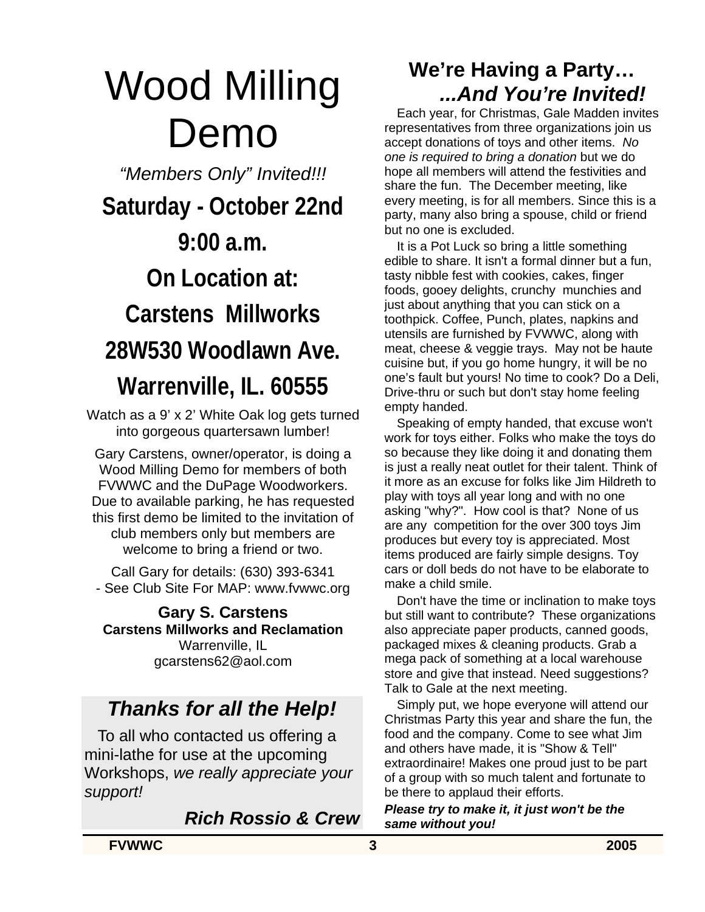### Wood Milling Demo

*"Members Only" Invited!!!*

**Saturday - October 22nd 9:00 a.m. On Location at: Carstens Millworks 28W530 Woodlawn Ave. Warrenville, IL. 60555**

Watch as a 9' x 2' White Oak log gets turned into gorgeous quartersawn lumber!

Gary Carstens, owner/operator, is doing a Wood Milling Demo for members of both FVWWC and the DuPage Woodworkers. Due to available parking, he has requested this first demo be limited to the invitation of club members only but members are welcome to bring a friend or two.

Call Gary for details: (630) 393-6341 - See Club Site For MAP: www.fvwwc.org

**Gary S. Carstens Carstens Millworks and Reclamation** Warrenville, IL gcarstens62@aol.com

### *Thanks for all the Help!*

 To all who contacted us offering a mini-lathe for use at the upcoming Workshops, *we really appreciate your support!*

*Rich Rossio & Crew*

### **We're Having a Party…** *...And You're Invited!*

Each year, for Christmas, Gale Madden invites representatives from three organizations join us accept donations of toys and other items. *No one is required to bring a donation* but we do hope all members will attend the festivities and share the fun. The December meeting, like every meeting, is for all members. Since this is a party, many also bring a spouse, child or friend but no one is excluded.

It is a Pot Luck so bring a little something edible to share. It isn't a formal dinner but a fun, tasty nibble fest with cookies, cakes, finger foods, gooey delights, crunchy munchies and just about anything that you can stick on a toothpick. Coffee, Punch, plates, napkins and utensils are furnished by FVWWC, along with meat, cheese & veggie trays. May not be haute cuisine but, if you go home hungry, it will be no one's fault but yours! No time to cook? Do a Deli, Drive-thru or such but don't stay home feeling empty handed.

Speaking of empty handed, that excuse won't work for toys either. Folks who make the toys do so because they like doing it and donating them is just a really neat outlet for their talent. Think of it more as an excuse for folks like Jim Hildreth to play with toys all year long and with no one asking "why?". How cool is that? None of us are any competition for the over 300 toys Jim produces but every toy is appreciated. Most items produced are fairly simple designs. Toy cars or doll beds do not have to be elaborate to make a child smile.

Don't have the time or inclination to make toys but still want to contribute? These organizations also appreciate paper products, canned goods, packaged mixes & cleaning products. Grab a mega pack of something at a local warehouse store and give that instead. Need suggestions? Talk to Gale at the next meeting.

Simply put, we hope everyone will attend our Christmas Party this year and share the fun, the food and the company. Come to see what Jim and others have made, it is "Show & Tell" extraordinaire! Makes one proud just to be part of a group with so much talent and fortunate to be there to applaud their efforts.

*Please try to make it, it just won't be the same without you!*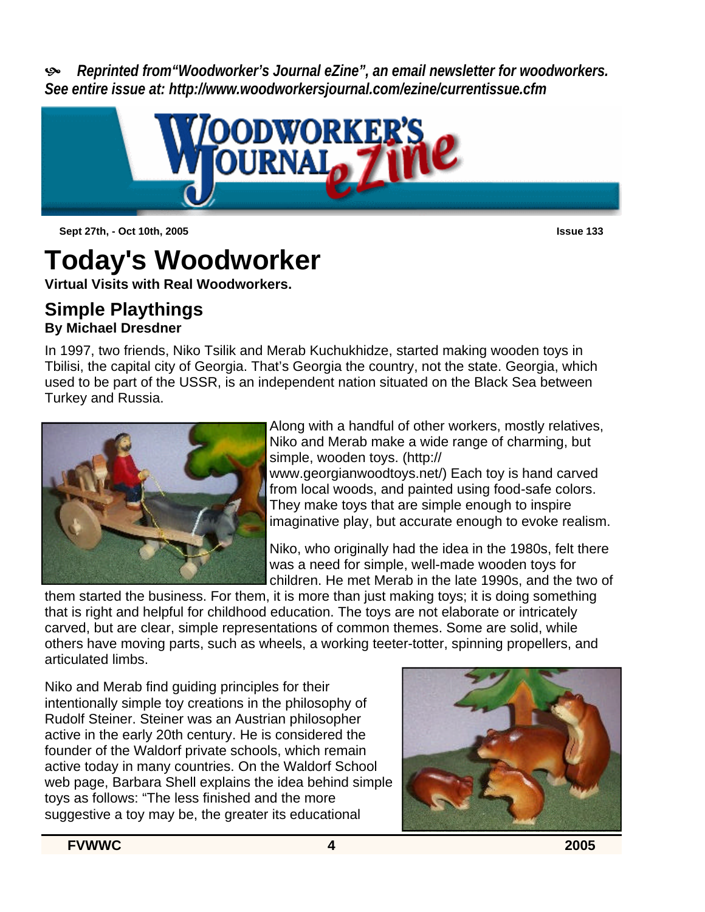ù *Reprinted from"Woodworker's Journal eZine", an email newsletter for woodworkers. See entire issue at: http://www.woodworkersjournal.com/ezine/currentissue.cfm*



**Sept 27th, - Oct 10th, 2005 Issue 133**

### **Today's Woodworker**

**Virtual Visits with Real Woodworkers.**

#### **Simple Playthings By Michael Dresdner**

In 1997, two friends, Niko Tsilik and Merab Kuchukhidze, started making wooden toys in Tbilisi, the capital city of Georgia. That's Georgia the country, not the state. Georgia, which used to be part of the USSR, is an independent nation situated on the Black Sea between Turkey and Russia.



Along with a handful of other workers, mostly relatives, Niko and Merab make a wide range of charming, but simple, wooden toys. (http://

www.georgianwoodtoys.net/) Each toy is hand carved from local woods, and painted using food-safe colors. They make toys that are simple enough to inspire imaginative play, but accurate enough to evoke realism.

Niko, who originally had the idea in the 1980s, felt there was a need for simple, well-made wooden toys for children. He met Merab in the late 1990s, and the two of

them started the business. For them, it is more than just making toys; it is doing something that is right and helpful for childhood education. The toys are not elaborate or intricately carved, but are clear, simple representations of common themes. Some are solid, while others have moving parts, such as wheels, a working teeter-totter, spinning propellers, and articulated limbs.

Niko and Merab find guiding principles for their intentionally simple toy creations in the philosophy of Rudolf Steiner. Steiner was an Austrian philosopher active in the early 20th century. He is considered the founder of the Waldorf private schools, which remain active today in many countries. On the Waldorf School web page, Barbara Shell explains the idea behind simple toys as follows: "The less finished and the more suggestive a toy may be, the greater its educational



**FVWWC 4 2005**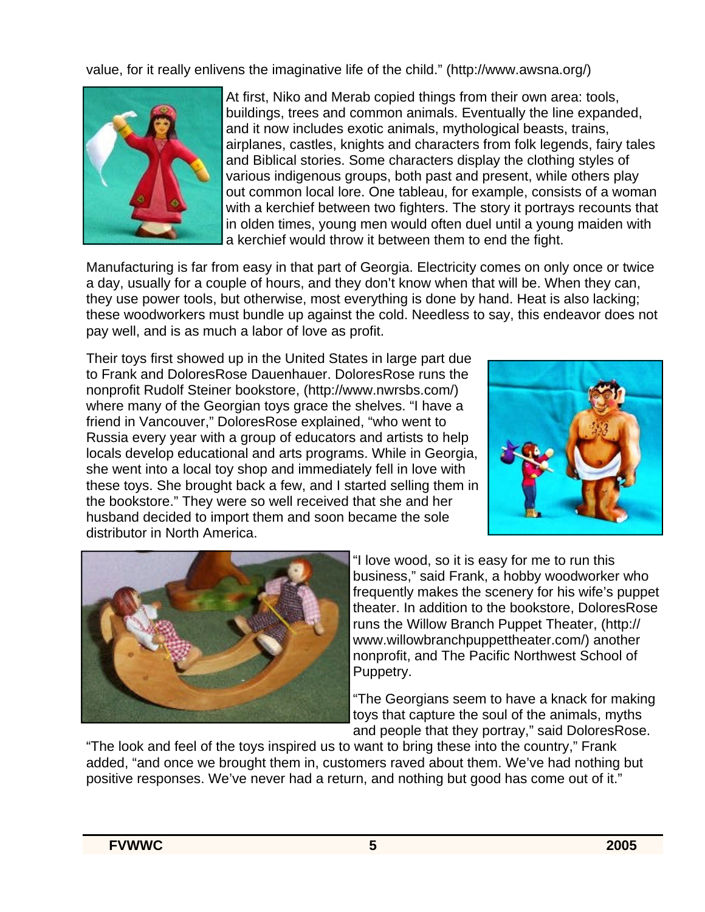value, for it really enlivens the imaginative life of the child." (http://www.awsna.org/)



At first, Niko and Merab copied things from their own area: tools, buildings, trees and common animals. Eventually the line expanded, and it now includes exotic animals, mythological beasts, trains, airplanes, castles, knights and characters from folk legends, fairy tales and Biblical stories. Some characters display the clothing styles of various indigenous groups, both past and present, while others play out common local lore. One tableau, for example, consists of a woman with a kerchief between two fighters. The story it portrays recounts that in olden times, young men would often duel until a young maiden with a kerchief would throw it between them to end the fight.

Manufacturing is far from easy in that part of Georgia. Electricity comes on only once or twice a day, usually for a couple of hours, and they don't know when that will be. When they can, they use power tools, but otherwise, most everything is done by hand. Heat is also lacking; these woodworkers must bundle up against the cold. Needless to say, this endeavor does not pay well, and is as much a labor of love as profit.

Their toys first showed up in the United States in large part due to Frank and DoloresRose Dauenhauer. DoloresRose runs the nonprofit Rudolf Steiner bookstore, (http://www.nwrsbs.com/) where many of the Georgian toys grace the shelves. "I have a friend in Vancouver," DoloresRose explained, "who went to Russia every year with a group of educators and artists to help locals develop educational and arts programs. While in Georgia, she went into a local toy shop and immediately fell in love with these toys. She brought back a few, and I started selling them in the bookstore." They were so well received that she and her husband decided to import them and soon became the sole distributor in North America.





"I love wood, so it is easy for me to run this business," said Frank, a hobby woodworker who frequently makes the scenery for his wife's puppet theater. In addition to the bookstore, DoloresRose runs the Willow Branch Puppet Theater, (http:// www.willowbranchpuppettheater.com/) another nonprofit, and The Pacific Northwest School of Puppetry.

"The Georgians seem to have a knack for making toys that capture the soul of the animals, myths and people that they portray," said DoloresRose.

"The look and feel of the toys inspired us to want to bring these into the country," Frank added, "and once we brought them in, customers raved about them. We've had nothing but positive responses. We've never had a return, and nothing but good has come out of it."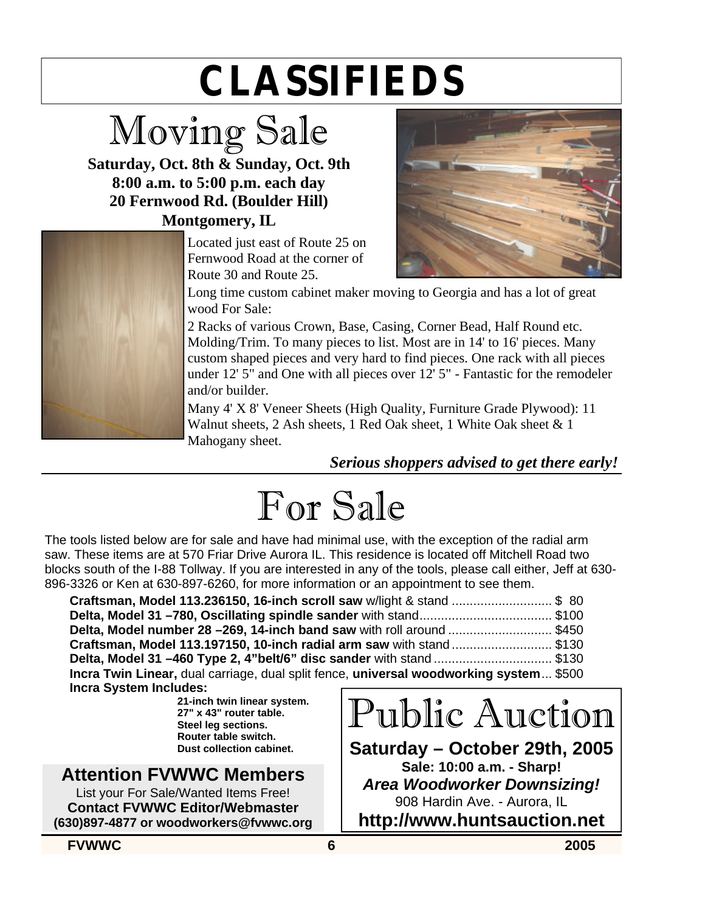## **CLASSIFIEDS**

### Moving Sale

**Saturday, Oct. 8th & Sunday, Oct. 9th 8:00 a.m. to 5:00 p.m. each day 20 Fernwood Rd. (Boulder Hill) Montgomery, IL**



Located just east of Route 25 on Fernwood Road at the corner of Route 30 and Route 25.



Long time custom cabinet maker moving to Georgia and has a lot of great wood For Sale:

2 Racks of various Crown, Base, Casing, Corner Bead, Half Round etc. Molding/Trim. To many pieces to list. Most are in 14' to 16' pieces. Many custom shaped pieces and very hard to find pieces. One rack with all pieces under 12' 5" and One with all pieces over 12' 5" - Fantastic for the remodeler and/or builder.

Many 4' X 8' Veneer Sheets (High Quality, Furniture Grade Plywood): 11 Walnut sheets, 2 Ash sheets, 1 Red Oak sheet, 1 White Oak sheet & 1 Mahogany sheet.

*Serious shoppers advised to get there early!*

### For Sale

The tools listed below are for sale and have had minimal use, with the exception of the radial arm saw. These items are at 570 Friar Drive Aurora IL. This residence is located off Mitchell Road two blocks south of the I-88 Tollway. If you are interested in any of the tools, please call either, Jeff at 630- 896-3326 or Ken at 630-897-6260, for more information or an appointment to see them.

| Delta, Model number 28 -269, 14-inch band saw with roll around \$450                   |  |
|----------------------------------------------------------------------------------------|--|
|                                                                                        |  |
| <b>Delta, Model 31 -460 Type 2, 4"belt/6" disc sander</b> with stand \$130             |  |
| Incra Twin Linear, dual carriage, dual split fence, universal woodworking system \$500 |  |
| <b>Incra System Includes:</b>                                                          |  |

**21-inch twin linear system. 27" x 43" router table. Steel leg sections. Router table switch. Dust collection cabinet.**

### **Attention FVWWC Members**

List your For Sale/Wanted Items Free! **Contact FVWWC Editor/Webmaster (630)897-4877 or woodworkers@fvwwc.org**

### Public Auction

**Saturday – October 29th, 2005 Sale: 10:00 a.m. - Sharp!** *Area Woodworker Downsizing!* 908 Hardin Ave. - Aurora, IL **http://www.huntsauction.net**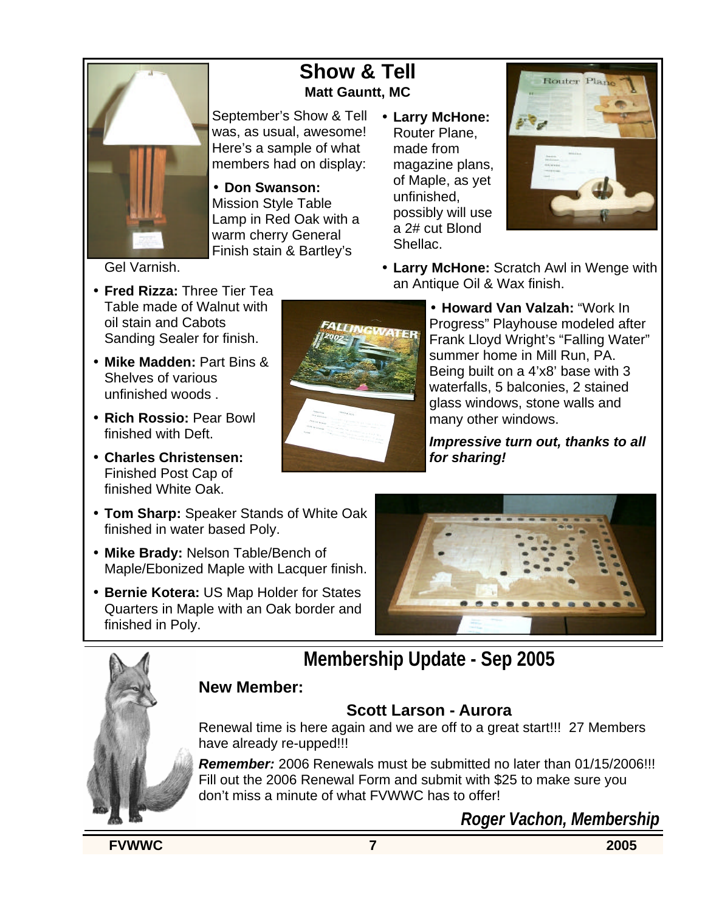

#### **Show & Tell Matt Gauntt, MC**

September's Show & Tell • **Larry McHone:**  was, as usual, awesome! Here's a sample of what members had on display:

• **Don Swanson:**  Mission Style Table Lamp in Red Oak with a warm cherry General Finish stain & Bartley's

Router Plane, made from magazine plans, of Maple, as yet unfinished, possibly will use a 2# cut Blond Shellac.



• **Larry McHone:** Scratch Awl in Wenge with an Antique Oil & Wax finish.

Gel Varnish.

- **Fred Rizza:** Three Tier Tea Table made of Walnut with oil stain and Cabots Sanding Sealer for finish.
- **Mike Madden:** Part Bins & Shelves of various unfinished woods .
- **Rich Rossio:** Pear Bowl finished with Deft.
- **Charles Christensen:**  Finished Post Cap of finished White Oak.
- **Tom Sharp:** Speaker Stands of White Oak finished in water based Poly.
- **Mike Brady:** Nelson Table/Bench of Maple/Ebonized Maple with Lacquer finish.
- **Bernie Kotera:** US Map Holder for States Quarters in Maple with an Oak border and finished in Poly.



• **Howard Van Valzah:** "Work In Progress" Playhouse modeled after Frank Lloyd Wright's "Falling Water" summer home in Mill Run, PA. Being built on a 4'x8' base with 3 waterfalls, 5 balconies, 2 stained glass windows, stone walls and many other windows.

*Impressive turn out, thanks to all for sharing!*



#### **New Member:**

#### **Scott Larson - Aurora**

Renewal time is here again and we are off to a great start!!! 27 Members have already re-upped!!!

*Remember:* 2006 Renewals must be submitted no later than 01/15/2006!!! Fill out the 2006 Renewal Form and submit with \$25 to make sure you don't miss a minute of what FVWWC has to offer!

*Roger Vachon, Membership*